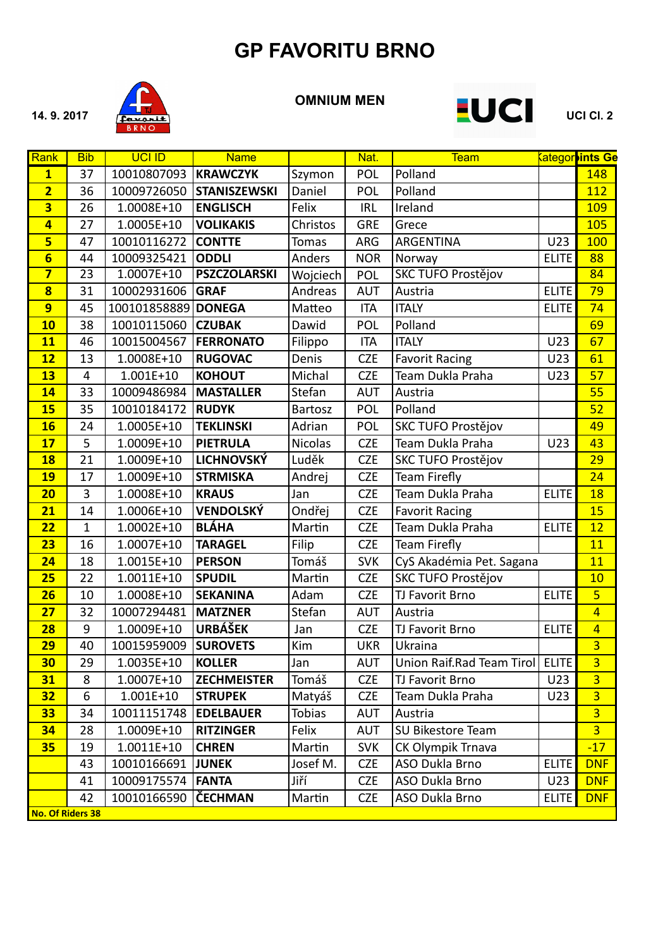

#### **OMNIUM MEN**



| Rank                    | <b>Bib</b>      | <b>UCI ID</b> | <b>Name</b>         |                | Nat.       | <b>Team</b>               |              | <b><u>Categor ints Ge</u></b> |
|-------------------------|-----------------|---------------|---------------------|----------------|------------|---------------------------|--------------|-------------------------------|
| $\mathbf{1}$            | 37              | 10010807093   | <b>KRAWCZYK</b>     | Szymon         | POL        | Polland                   |              | 148                           |
| $\overline{2}$          | 36              | 10009726050   | <b>STANISZEWSKI</b> | Daniel         | POL        | Polland                   |              | 112                           |
| $\overline{\mathbf{3}}$ | 26              | 1.0008E+10    | <b>ENGLISCH</b>     | Felix          | <b>IRL</b> | Ireland                   |              | 109                           |
| $\overline{4}$          | 27              | 1.0005E+10    | <b>VOLIKAKIS</b>    | Christos       | <b>GRE</b> | Grece                     |              | 105                           |
| $5\phantom{a}$          | 47              | 10010116272   | <b>CONTTE</b>       | <b>Tomas</b>   | <b>ARG</b> | ARGENTINA                 | U23          | 100                           |
| $6\phantom{1}$          | 44              | 10009325421   | <b>ODDLI</b>        | Anders         | <b>NOR</b> | Norway                    | <b>ELITE</b> | 88                            |
| $\overline{\mathbf{7}}$ | $\overline{23}$ | 1.0007E+10    | <b>PSZCZOLARSKI</b> | Wojciech       | POL        | <b>SKC TUFO Prostějov</b> |              | $\overline{84}$               |
| $\overline{\mathbf{8}}$ | 31              | 10002931606   | <b>GRAF</b>         | Andreas        | <b>AUT</b> | Austria                   | <b>ELITE</b> | 79                            |
| 9                       | 45              | 100101858889  | <b>DONEGA</b>       | Matteo         | <b>ITA</b> | <b>ITALY</b>              | <b>ELITE</b> | 74                            |
| 10                      | 38              | 10010115060   | <b>CZUBAK</b>       | Dawid          | POL        | Polland                   |              | 69                            |
| 11                      | 46              | 10015004567   | <b>FERRONATO</b>    | Filippo        | <b>ITA</b> | <b>ITALY</b>              | U23          | 67                            |
| 12                      | 13              | 1.0008E+10    | <b>RUGOVAC</b>      | Denis          | <b>CZE</b> | <b>Favorit Racing</b>     | U23          | 61                            |
| 13                      | $\overline{4}$  | $1.001E+10$   | <b>KOHOUT</b>       | Michal         | <b>CZE</b> | Team Dukla Praha          | U23          | 57                            |
| 14                      | 33              | 10009486984   | <b>MASTALLER</b>    | Stefan         | <b>AUT</b> | Austria                   |              | 55                            |
| <b>15</b>               | $\overline{35}$ | 10010184172   | <b>RUDYK</b>        | Bartosz        | POL        | Polland                   |              | 52                            |
| <b>16</b>               | 24              | 1.0005E+10    | <b>TEKLINSKI</b>    | Adrian         | POL        | SKC TUFO Prostějov        |              | 49                            |
| 17                      | 5               | 1.0009E+10    | <b>PIETRULA</b>     | <b>Nicolas</b> | <b>CZE</b> | Team Dukla Praha          | U23          | 43                            |
| <b>18</b>               | 21              | 1.0009E+10    | <b>LICHNOVSKÝ</b>   | Luděk          | <b>CZE</b> | SKC TUFO Prostějov        |              | 29                            |
| <b>19</b>               | 17              | 1.0009E+10    | <b>STRMISKA</b>     | Andrej         | <b>CZE</b> | <b>Team Firefly</b>       |              | $\overline{24}$               |
| 20                      | 3               | 1.0008E+10    | <b>KRAUS</b>        | Jan            | <b>CZE</b> | Team Dukla Praha          | <b>ELITE</b> | 18                            |
| 21                      | 14              | 1.0006E+10    | <b>VENDOLSKÝ</b>    | Ondřej         | <b>CZE</b> | <b>Favorit Racing</b>     |              | 15                            |
| 22                      | $\mathbf{1}$    | 1.0002E+10    | <b>BLÁHA</b>        | Martin         | <b>CZE</b> | Team Dukla Praha          | <b>ELITE</b> | 12                            |
| 23                      | 16              | $1.0007E+10$  | <b>TARAGEL</b>      | Filip          | <b>CZE</b> | Team Firefly              |              | 11                            |
| 24                      | 18              | 1.0015E+10    | <b>PERSON</b>       | Tomáš          | <b>SVK</b> | CyS Akadémia Pet. Sagana  |              | 11                            |
| 25                      | 22              | 1.0011E+10    | <b>SPUDIL</b>       | Martin         | <b>CZE</b> | SKC TUFO Prostějov        |              | 10                            |
| 26                      | 10              | 1.0008E+10    | <b>SEKANINA</b>     | Adam           | <b>CZE</b> | TJ Favorit Brno           | <b>ELITE</b> | $\overline{5}$                |
| 27                      | 32              | 10007294481   | <b>MATZNER</b>      | Stefan         | <b>AUT</b> | Austria                   |              | $\overline{4}$                |
| <b>28</b>               | 9               | 1.0009E+10    | <b>URBÁŠEK</b>      | Jan            | <b>CZE</b> | TJ Favorit Brno           | <b>ELITE</b> | $\overline{4}$                |
| 29                      | 40              | 10015959009   | <b>SUROVETS</b>     | Kim            | <b>UKR</b> | Ukraina                   |              | $\overline{3}$                |
| 30                      | 29              | 1.0035E+10    | <b>KOLLER</b>       | Jan            | <b>AUT</b> | Union Raif.Rad Team Tirol | <b>ELITE</b> | $\overline{3}$                |
| 31                      | 8               | 1.0007E+10    | <b>ZECHMEISTER</b>  | Tomáš          | <b>CZE</b> | TJ Favorit Brno           | U23          | $\overline{3}$                |
| <b>32</b>               | 6               | $1.001E+10$   | <b>STRUPEK</b>      | Matyáš         | <b>CZE</b> | Team Dukla Praha          | U23          | $\overline{3}$                |
| 33                      | 34              | 10011151748   | <b>EDELBAUER</b>    | <b>Tobias</b>  | <b>AUT</b> | Austria                   |              | $\overline{3}$                |
| 34                      | 28              | 1.0009E+10    | <b>RITZINGER</b>    | Felix          | <b>AUT</b> | SU Bikestore Team         |              | 3 <sup>1</sup>                |
| 35                      | 19              | $1.0011E+10$  | <b>CHREN</b>        | Martin         | <b>SVK</b> | CK Olympik Trnava         |              | $-17$                         |
|                         | 43              | 10010166691   | <b>JUNEK</b>        | Josef M.       | <b>CZE</b> | ASO Dukla Brno            | <b>ELITE</b> | <b>DNF</b>                    |
|                         | 41              | 10009175574   | <b>FANTA</b>        | Jiří           | <b>CZE</b> | ASO Dukla Brno            | U23          | <b>DNF</b>                    |
|                         | 42              | 10010166590   | <b>ČECHMAN</b>      | Martin         | <b>CZE</b> | ASO Dukla Brno            | <b>ELITE</b> | <b>DNF</b>                    |
| <b>No. Of Riders 38</b> |                 |               |                     |                |            |                           |              |                               |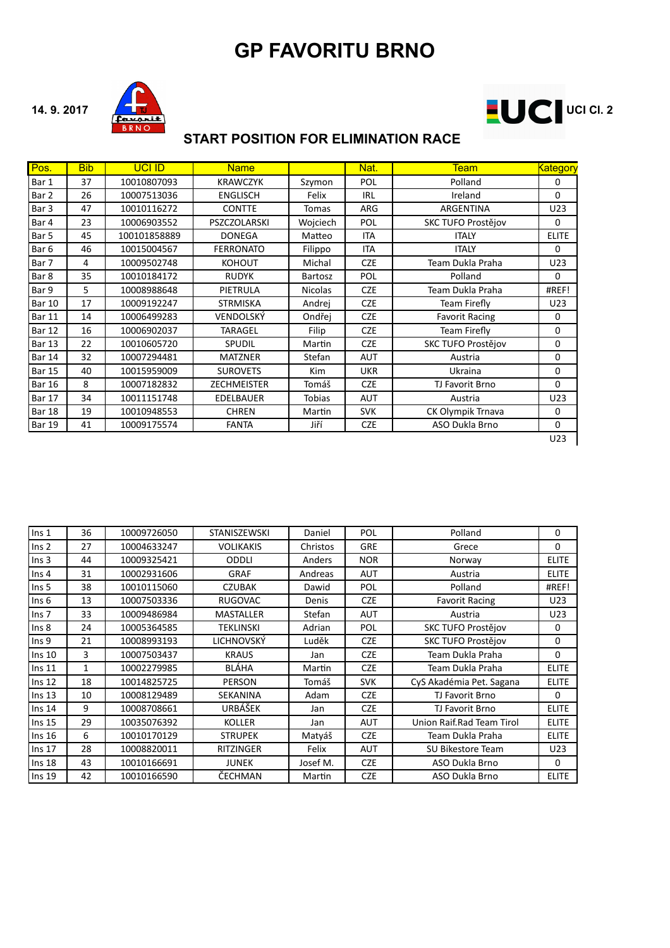



#### **START POSITION FOR ELIMINATION RACE**

| Pos.   | <b>Bib</b> | <b>UCI ID</b> | <b>Name</b>         |                | Nat.       | <b>Team</b>               | Kategory     |
|--------|------------|---------------|---------------------|----------------|------------|---------------------------|--------------|
| Bar 1  | 37         | 10010807093   | <b>KRAWCZYK</b>     | Szymon         | POL        | Polland                   | 0            |
| Bar 2  | 26         | 10007513036   | <b>ENGLISCH</b>     | Felix          | <b>IRL</b> | Ireland                   | $\Omega$     |
| Bar 3  | 47         | 10010116272   | <b>CONTTE</b>       | <b>Tomas</b>   | ARG        | ARGENTINA                 | U23          |
| Bar 4  | 23         | 10006903552   | <b>PSZCZOLARSKI</b> | Woiciech       | POL        | SKC TUFO Prostějov        | $\Omega$     |
| Bar 5  | 45         | 100101858889  | <b>DONEGA</b>       | Matteo         | <b>ITA</b> | <b>ITALY</b>              | <b>ELITE</b> |
| Bar 6  | 46         | 10015004567   | <b>FERRONATO</b>    | Filippo        | <b>ITA</b> | <b>ITALY</b>              | $\Omega$     |
| Bar 7  | 4          | 10009502748   | <b>KOHOUT</b>       | Michal         | <b>CZE</b> | Team Dukla Praha          | U23          |
| Bar 8  | 35         | 10010184172   | <b>RUDYK</b>        | <b>Bartosz</b> | POL        | Polland                   | $\Omega$     |
| Bar 9  | 5          | 10008988648   | PIETRULA            | <b>Nicolas</b> | <b>CZE</b> | Team Dukla Praha          | #REF!        |
| Bar 10 | 17         | 10009192247   | <b>STRMISKA</b>     | Andrej         | <b>CZE</b> | Team Firefly              | U23          |
| Bar 11 | 14         | 10006499283   | VENDOLSKÝ           | Ondřej         | <b>CZE</b> | <b>Favorit Racing</b>     | $\Omega$     |
| Bar 12 | 16         | 10006902037   | <b>TARAGEL</b>      | Filip          | <b>CZE</b> | Team Firefly              | $\Omega$     |
| Bar 13 | 22         | 10010605720   | SPUDIL              | Martin         | <b>CZE</b> | <b>SKC TUFO Prostějov</b> | $\mathbf 0$  |
| Bar 14 | 32         | 10007294481   | <b>MATZNER</b>      | Stefan         | AUT        | Austria                   | 0            |
| Bar 15 | 40         | 10015959009   | <b>SUROVETS</b>     | Kim            | <b>UKR</b> | Ukraina                   | $\mathbf 0$  |
| Bar 16 | 8          | 10007182832   | <b>ZECHMEISTER</b>  | Tomáš          | <b>CZE</b> | TJ Favorit Brno           | $\Omega$     |
| Bar 17 | 34         | 10011151748   | <b>EDELBAUER</b>    | <b>Tobias</b>  | <b>AUT</b> | Austria                   | U23          |
| Bar 18 | 19         | 10010948553   | <b>CHREN</b>        | Martin         | <b>SVK</b> | CK Olympik Trnava         | $\Omega$     |
| Bar 19 | 41         | 10009175574   | <b>FANTA</b>        | Jiří           | <b>CZE</b> | ASO Dukla Brno            | $\mathbf 0$  |
|        |            |               |                     |                |            |                           | U23          |

| $\ln s$ 1         | 36           | 10009726050 | <b>STANISZEWSKI</b> | Daniel   | POL        | Polland                   | $\Omega$     |
|-------------------|--------------|-------------|---------------------|----------|------------|---------------------------|--------------|
| Ins <sub>2</sub>  | 27           | 10004633247 | <b>VOLIKAKIS</b>    | Christos | <b>GRE</b> | Grece                     | $\Omega$     |
| Ins <sub>3</sub>  | 44           | 10009325421 | <b>ODDLI</b>        | Anders   | <b>NOR</b> | Norway                    | <b>ELITE</b> |
| $\ln s$ 4         | 31           | 10002931606 | <b>GRAF</b>         | Andreas  | <b>AUT</b> | Austria                   | <b>ELITE</b> |
| Ins <sub>5</sub>  | 38           | 10010115060 | CZUBAK              | Dawid    | POL        | Polland                   | #REF!        |
| Ins <sub>6</sub>  | 13           | 10007503336 | <b>RUGOVAC</b>      | Denis    | <b>CZE</b> | <b>Favorit Racing</b>     | U23          |
| Ins <sub>7</sub>  | 33           | 10009486984 | <b>MASTALLER</b>    | Stefan   | <b>AUT</b> | Austria                   | U23          |
| Ins <sub>8</sub>  | 24           | 10005364585 | <b>TEKLINSKI</b>    | Adrian   | POL        | <b>SKC TUFO Prostějov</b> | 0            |
| Ins <sub>9</sub>  | 21           | 10008993193 | <b>LICHNOVSKÝ</b>   | Luděk    | <b>CZE</b> | SKC TUFO Prostějov        | $\mathbf 0$  |
| Ins 10            | 3            | 10007503437 | <b>KRAUS</b>        | Jan      | <b>CZE</b> | Team Dukla Praha          | $\mathbf 0$  |
| Ins <sub>11</sub> | $\mathbf{1}$ | 10002279985 | <b>BLÁHA</b>        | Martin   | <b>CZE</b> | Team Dukla Praha          | <b>ELITE</b> |
| Ins <sub>12</sub> | 18           | 10014825725 | <b>PERSON</b>       | Tomáš    | <b>SVK</b> | CyS Akadémia Pet. Sagana  | <b>ELITE</b> |
| Ins <sub>13</sub> | 10           | 10008129489 | SEKANINA            | Adam     | <b>CZE</b> | TJ Favorit Brno           | 0            |
| $\ln s$ 14        | 9            | 10008708661 | URBÁŠEK             | Jan      | <b>CZE</b> | TJ Favorit Brno           | <b>ELITE</b> |
| Ins $15$          | 29           | 10035076392 | <b>KOLLER</b>       | Jan      | AUT        | Union Raif.Rad Team Tirol | <b>ELITE</b> |
| Ins $16$          | 6            | 10010170129 | <b>STRUPEK</b>      | Matyáš   | <b>CZE</b> | Team Dukla Praha          | <b>ELITE</b> |
| Ins $17$          | 28           | 10008820011 | <b>RITZINGER</b>    | Felix    | <b>AUT</b> | <b>SU Bikestore Team</b>  | U23          |
| Ins <sub>18</sub> | 43           | 10010166691 | <b>JUNEK</b>        | Josef M. | <b>CZE</b> | ASO Dukla Brno            | $\Omega$     |
| Ins <sub>19</sub> | 42           | 10010166590 | ČECHMAN             | Martin   | <b>CZE</b> | ASO Dukla Brno            | <b>ELITE</b> |